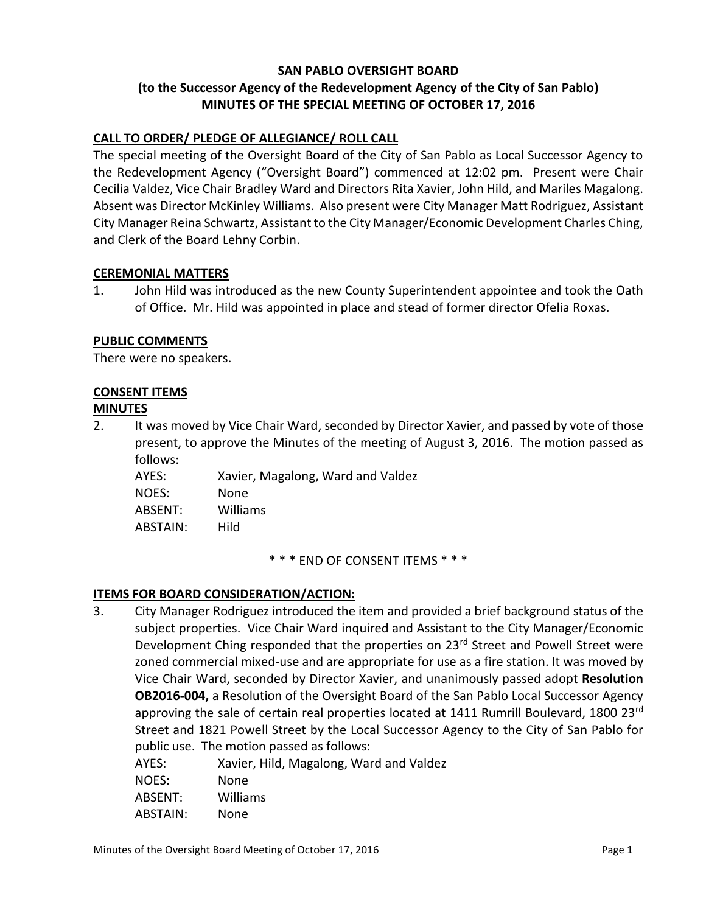## **SAN PABLO OVERSIGHT BOARD (to the Successor Agency of the Redevelopment Agency of the City of San Pablo) MINUTES OF THE SPECIAL MEETING OF OCTOBER 17, 2016**

## **CALL TO ORDER/ PLEDGE OF ALLEGIANCE/ ROLL CALL**

The special meeting of the Oversight Board of the City of San Pablo as Local Successor Agency to the Redevelopment Agency ("Oversight Board") commenced at 12:02 pm. Present were Chair Cecilia Valdez, Vice Chair Bradley Ward and Directors Rita Xavier, John Hild, and Mariles Magalong. Absent was Director McKinley Williams. Also present were City Manager Matt Rodriguez, Assistant City Manager Reina Schwartz, Assistant to the City Manager/Economic Development Charles Ching, and Clerk of the Board Lehny Corbin.

#### **CEREMONIAL MATTERS**

1. John Hild was introduced as the new County Superintendent appointee and took the Oath of Office. Mr. Hild was appointed in place and stead of former director Ofelia Roxas.

## **PUBLIC COMMENTS**

There were no speakers.

#### **CONSENT ITEMS**

#### **MINUTES**

2. It was moved by Vice Chair Ward, seconded by Director Xavier, and passed by vote of those present, to approve the Minutes of the meeting of August 3, 2016. The motion passed as follows:

AYES: Xavier, Magalong, Ward and Valdez NOES: None ABSENT: Williams ABSTAIN: Hild

\* \* \* END OF CONSENT ITEMS \* \* \*

## **ITEMS FOR BOARD CONSIDERATION/ACTION:**

- 3. City Manager Rodriguez introduced the item and provided a brief background status of the subject properties. Vice Chair Ward inquired and Assistant to the City Manager/Economic Development Ching responded that the properties on 23<sup>rd</sup> Street and Powell Street were zoned commercial mixed-use and are appropriate for use as a fire station. It was moved by Vice Chair Ward, seconded by Director Xavier, and unanimously passed adopt **Resolution OB2016-004,** a Resolution of the Oversight Board of the San Pablo Local Successor Agency approving the sale of certain real properties located at 1411 Rumrill Boulevard, 1800 23rd Street and 1821 Powell Street by the Local Successor Agency to the City of San Pablo for public use. The motion passed as follows:
	- AYES: Xavier, Hild, Magalong, Ward and Valdez
	- NOES: None
	- ABSENT: Williams
	- ABSTAIN: None